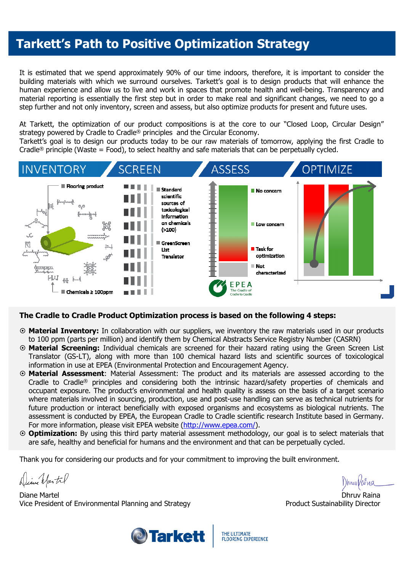### **Tarkett's Path to Positive Optimization Strategy**

It is estimated that we spend approximately 90% of our time indoors, therefore, it is important to consider the building materials with which we surround ourselves. Tarkett's goal is to design products that will enhance the human experience and allow us to live and work in spaces that promote health and well-being. Transparency and material reporting is essentially the first step but in order to make real and significant changes, we need to go a step further and not only inventory, screen and assess, but also optimize products for present and future uses.

At Tarkett, the optimization of our product compositions is at the core to our "Closed Loop, Circular Design" strategy powered by Cradle to Cradle® principles and the Circular Economy.

Tarkett's goal is to design our products today to be our raw materials of tomorrow, applying the first Cradle to Cradle<sup>®</sup> principle (Waste = Food), to select healthy and safe materials that can be perpetually cycled.



### **The Cradle to Cradle Product Optimization process is based on the following 4 steps:**

- **Material Inventory:** In collaboration with our suppliers, we inventory the raw materials used in our products to 100 ppm (parts per million) and identify them by Chemical Abstracts Service Registry Number (CASRN)
- **Material Screening:** Individual chemicals are screened for their hazard rating using the Green Screen List Translator (GS-LT), along with more than 100 chemical hazard lists and scientific sources of toxicological information in use at EPEA (Environmental Protection and Encouragement Agency.
- **Material Assessment**: Material Assessment: The product and its materials are assessed according to the Cradle to Cradle® principles and considering both the intrinsic hazard/safety properties of chemicals and occupant exposure. The product's environmental and health quality is assess on the basis of a target scenario where materials involved in sourcing, production, use and post-use handling can serve as technical nutrients for future production or interact beneficially with exposed organisms and ecosystems as biological nutrients. The assessment is conducted by EPEA, the European Cradle to Cradle scientific research Institute based in Germany. For more information, please visit EPEA website (http://www.epea.com/).
- **Optimization:** By using this third party material assessment methodology, our goal is to select materials that are safe, healthy and beneficial for humans and the environment and that can be perpetually cycled.

Thank you for considering our products and for your commitment to improving the built environment.

Diane Martil

Diane Martel Vice President of Environmental Planning and Strategy

)hnw Va

Dhruv Raina Product Sustainability Director



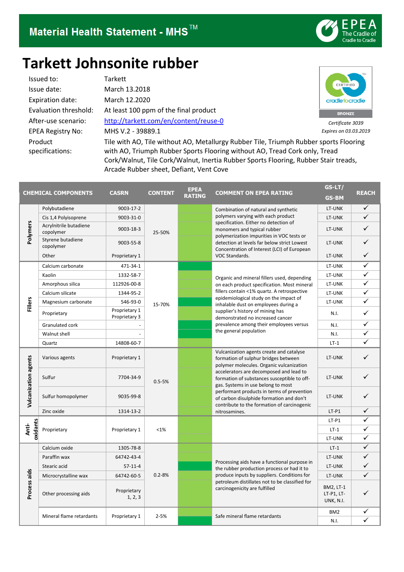

# **Tarkett Johnsonite rubber**

Issued to: Tarkett Issue date: March 13.2018 Expiration date: March 12.2020 EPEA Registry No: MHS V.2 - 39889.1 Product specifications:

Evaluation threshold: At least 100 ppm of the final product After-use scenario: <http://tarkett.com/en/content/reuse-0>



*Certificate 3039 Expires on 03.03.2019*

Tile with AO, Tile without AO, Metallurgy Rubber Tile, Triumph Rubber sports Flooring with AO, Triumph Rubber Sports Flooring without AO, Tread Cork only, Tread Cork/Walnut, Tile Cork/Walnut, Inertia Rubber Sports Flooring, Rubber Stair treads, Arcade Rubber sheet, Defiant, Vent Cove

|                      | <b>CHEMICAL COMPONENTS</b>          | <b>CASRN</b>                   | <b>CONTENT</b> | <b>EPEA</b><br><b>RATING</b> | <b>COMMENT ON EPEA RATING</b>                                                                                                                                                                                                                                                                                                                                                                                          | GS-LT/<br><b>GS-BM</b>               | <b>REACH</b> |
|----------------------|-------------------------------------|--------------------------------|----------------|------------------------------|------------------------------------------------------------------------------------------------------------------------------------------------------------------------------------------------------------------------------------------------------------------------------------------------------------------------------------------------------------------------------------------------------------------------|--------------------------------------|--------------|
| Polymers             | Polybutadiene                       | 9003-17-2                      | 25-50%         |                              | Combination of natural and synthetic<br>polymers varying with each product<br>specification. Either no detection of<br>monomers and typical rubber<br>polymerization impurities in VOC tests or<br>detection at levels far below strict Lowest<br>Concentration of Interest (LCI) of European<br>VOC Standards.                                                                                                        | LT-UNK                               | ✓            |
|                      | Cis 1,4 Polyisoprene                | 9003-31-0                      |                |                              |                                                                                                                                                                                                                                                                                                                                                                                                                        | LT-UNK                               | ✓            |
|                      | Acrylnitrile butadiene<br>copolymer | 9003-18-3                      |                |                              |                                                                                                                                                                                                                                                                                                                                                                                                                        | LT-UNK                               | $\checkmark$ |
|                      | Styrene butadiene<br>copolymer      | 9003-55-8                      |                |                              |                                                                                                                                                                                                                                                                                                                                                                                                                        | LT-UNK                               | ✓            |
|                      | Other                               | Proprietary 1                  |                |                              |                                                                                                                                                                                                                                                                                                                                                                                                                        | LT-UNK                               | ✓            |
|                      | Calcium carbonate                   | 471-34-1                       | 15-70%         |                              | Organic and mineral fillers used, depending<br>on each product specification. Most mineral<br>fillers contain <1% quartz. A retrospective<br>epidemiological study on the impact of<br>inhalable dust on employees during a<br>supplier's history of mining has<br>demonstrated no increased cancer<br>prevalence among their employees versus<br>the general population                                               | LT-UNK                               | ✓            |
|                      | Kaolin                              | 1332-58-7                      |                |                              |                                                                                                                                                                                                                                                                                                                                                                                                                        | LT-UNK                               | ✓            |
|                      | Amorphous silica                    | 112926-00-8                    |                |                              |                                                                                                                                                                                                                                                                                                                                                                                                                        | LT-UNK                               | ✓            |
|                      | Calcium silicate                    | 1344-95-2                      |                |                              |                                                                                                                                                                                                                                                                                                                                                                                                                        | LT-UNK                               | ✓            |
| <b>Fillers</b>       | Magnesium carbonate                 | 546-93-0                       |                |                              |                                                                                                                                                                                                                                                                                                                                                                                                                        | LT-UNK                               | ✓            |
|                      | Proprietary                         | Proprietary 1<br>Proprietary 3 |                |                              |                                                                                                                                                                                                                                                                                                                                                                                                                        | N.I.                                 | ✓            |
|                      | Granulated cork                     |                                |                |                              |                                                                                                                                                                                                                                                                                                                                                                                                                        | N.I.                                 | ✓            |
|                      | Walnut shell                        |                                |                |                              |                                                                                                                                                                                                                                                                                                                                                                                                                        | N.I.                                 | ✓            |
|                      | Quartz                              | 14808-60-7                     |                |                              |                                                                                                                                                                                                                                                                                                                                                                                                                        | $LT-1$                               | ✓            |
| Vulcanization agents | Various agents                      | Proprietary 1                  | $0.5 - 5%$     |                              | Vulcanization agents create and catalyse<br>formation of sulphur bridges between<br>polymer molecules. Organic vulcanization<br>accelerators are decomposed and lead to<br>formation of substances susceptible to off-<br>gas. Systems in use belong to most<br>performant products in terms of prevention<br>of carbon disulphide formation and don't<br>contribute to the formation of carcinogenic<br>nitrosamines. | LT-UNK                               |              |
|                      | Sulfur                              | 7704-34-9                      |                |                              |                                                                                                                                                                                                                                                                                                                                                                                                                        | LT-UNK                               |              |
|                      | Sulfur homopolymer                  | 9035-99-8                      |                |                              |                                                                                                                                                                                                                                                                                                                                                                                                                        | LT-UNK                               |              |
|                      | Zinc oxide                          | 1314-13-2                      |                |                              |                                                                                                                                                                                                                                                                                                                                                                                                                        | $LT-P1$                              | ✓            |
|                      | Proprietary                         | Proprietary 1                  | <1%            |                              |                                                                                                                                                                                                                                                                                                                                                                                                                        | $LT-P1$                              | ✓            |
| oxidants<br>Anti-    |                                     |                                |                |                              |                                                                                                                                                                                                                                                                                                                                                                                                                        | $LT-1$                               | ✓            |
|                      |                                     |                                |                |                              |                                                                                                                                                                                                                                                                                                                                                                                                                        | LT-UNK                               | ✓            |
|                      | Calcium oxide                       | 1305-78-8                      | $0.2 - 8%$     |                              | Processing aids have a functional purpose in<br>the rubber production process or had it to<br>produce inputs by suppliers. Conditions for<br>petroleum distillates not to be classified for<br>carcinogenicity are fulfilled                                                                                                                                                                                           | $LT-1$                               | ✓            |
|                      | Paraffin wax                        | 64742-43-4                     |                |                              |                                                                                                                                                                                                                                                                                                                                                                                                                        | LT-UNK                               | ✓            |
| Process aids         | Stearic acid                        | $57-11-4$                      |                |                              |                                                                                                                                                                                                                                                                                                                                                                                                                        | LT-UNK                               | $\checkmark$ |
|                      | Microcrystalline wax                | 64742-60-5                     |                |                              |                                                                                                                                                                                                                                                                                                                                                                                                                        | LT-UNK                               | ✓            |
|                      | Other processing aids               | Proprietary<br>1, 2, 3         |                |                              |                                                                                                                                                                                                                                                                                                                                                                                                                        | BM2, LT-1<br>LT-P1, LT-<br>UNK, N.I. |              |
|                      | Mineral flame retardants            | Proprietary 1                  | $2 - 5%$       |                              | Safe mineral flame retardants                                                                                                                                                                                                                                                                                                                                                                                          | BM <sub>2</sub>                      | ✓            |
|                      |                                     |                                |                |                              |                                                                                                                                                                                                                                                                                                                                                                                                                        | N.I.                                 | ✓            |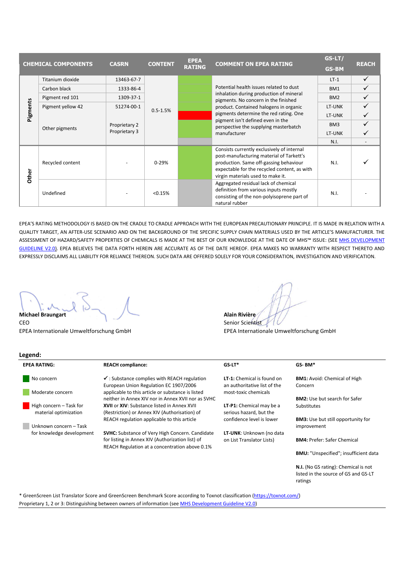|          | <b>CHEMICAL COMPONENTS</b> | <b>CASRN</b>                   | <b>CONTENT</b> | <b>EPEA</b><br><b>RATING</b> | <b>COMMENT ON EPEA RATING</b>                                                                                                                                                                                                                                                                                | GS-LT/<br><b>GS-BM</b> | <b>REACH</b> |
|----------|----------------------------|--------------------------------|----------------|------------------------------|--------------------------------------------------------------------------------------------------------------------------------------------------------------------------------------------------------------------------------------------------------------------------------------------------------------|------------------------|--------------|
| Pigments | Titanium dioxide           | 13463-67-7                     | $0.5 - 1.5%$   |                              | Potential health issues related to dust<br>inhalation during production of mineral<br>pigments. No concern in the finished<br>product. Contained halogens in organic<br>pigments determine the red rating. One<br>pigment isn't defined even in the<br>perspective the supplying masterbatch<br>manufacturer | $LT-1$                 | ✓            |
|          | Carbon black               | 1333-86-4                      |                |                              |                                                                                                                                                                                                                                                                                                              | BM1                    |              |
|          | Pigment red 101            | 1309-37-1                      |                |                              |                                                                                                                                                                                                                                                                                                              | BM <sub>2</sub>        |              |
|          | Pigment yellow 42          | 51274-00-1                     |                |                              |                                                                                                                                                                                                                                                                                                              | LT-UNK                 |              |
|          | Other pigments             | Proprietary 2<br>Proprietary 3 |                |                              |                                                                                                                                                                                                                                                                                                              | LT-UNK                 |              |
|          |                            |                                |                |                              |                                                                                                                                                                                                                                                                                                              | BM3                    |              |
|          |                            |                                |                |                              |                                                                                                                                                                                                                                                                                                              | LT-UNK                 |              |
|          |                            |                                |                |                              |                                                                                                                                                                                                                                                                                                              | N.I.                   |              |
| Other    | Recycled content           |                                | $0 - 29%$      |                              | Consists currently exclusively of internal<br>post-manufacturing material of Tarkett's<br>production. Same off-gassing behaviour<br>expectable for the recycled content, as with<br>virgin materials used to make it.                                                                                        | N.I.                   |              |
|          | Undefined                  |                                | < 0.15%        |                              | Aggregated residual lack of chemical<br>definition from various inputs mostly<br>consisting of the non-polyisoprene part of<br>natural rubber                                                                                                                                                                | N.I.                   |              |

EPEA'S RATING METHODOLOGY IS BASED ON THE CRADLE TO CRADLE APPROACH WITH THE EUROPEAN PRECAUTIONARY PRINCIPLE. IT IS MADE IN RELATION WITH A QUALITY TARGET, AN AFTER-USE SCENARIO AND ON THE BACKGROUND OF THE SPECIFIC SUPPLY CHAIN MATERIALS USED BY THE ARTICLE'S MANUFACTURER. THE ASSESSMENT OF HAZARD/SAFETY PROPERTIES OF CHEMICALS IS MADE AT THE BEST OF OUR KNOWLEDGE AT THE DATE OF MHS™ ISSUE: (SEE MHS DEVELOPMENT [GUIDELINE V2.0\)](http://epea.com/sites/default/files/MHS%20Guidance%20document%20V2.0.pdf). EPEA BELIEVES THE DATA FORTH HEREIN ARE ACCURATE AS OF THE DATE HEREOF. EPEA MAKES NO WARRANTY WITH RESPECT THERETO AND EXPRESSLY DISCLAIMS ALL LIABILITY FOR RELIANCE THEREON. SUCH DATA ARE OFFERED SOLELY FOR YOUR CONSIDERATION, INVESTIGATION AND VERIFICATION.

**Michael Braungart Alain Rivière** Alain Rivière CEO Senior Scientist

EPEA Internationale Umweltforschung GmbH EPEA Internationale Umweltforschung GmbH

#### **Legend: EPEA RATING: REACH compliance: GS-LT\* GS- BM\*** No concern Moderate concern High concern – Task for material optimization **A** Unknown concern – Task for knowledge development ✓ : Substance complies with REACH regulation European Union Regulation EC 1907/2006 applicable to this article or substance is listed neither in Annex XIV nor in Annex XVII nor as SVHC **XVII** or **XIV**: Substance listed in Annex XVII (Restriction) or Annex XIV (Authorisation) of REACH regulation applicable to this article **SVHC:** Substance of Very High Concern. Candidate for listing in Annex XIV (Authorization list) of REACH Regulation at a concentration above 0.1% **LT-1:** Chemical is found on an authoritative list of the most-toxic chemicals **LT-P1:** Chemical may be a serious hazard, but the confidence level is lower **LT-UNK**: Unknown (no data on List Translator Lists) **BM1:** Avoid: Chemical of High Concern **BM2:** Use but search for Safer Substitutes **BM3:** Use but still opportunity for improvement **BM4:** Prefer: Safer Chemical **BMU:** "Unspecified"; insufficient data **N.I.** (No GS rating): Chemical is not listed in the source of GS and GS-LT ratings

\* GreenScreen List Translator Score and GreenScreen Benchmark Score according to Toxnot classification [\(https://toxnot.com/\)](https://toxnot.com/) Proprietary 1, 2 or 3: Distinguishing between owners of information (see **MHS Development Guideline V2.0**)